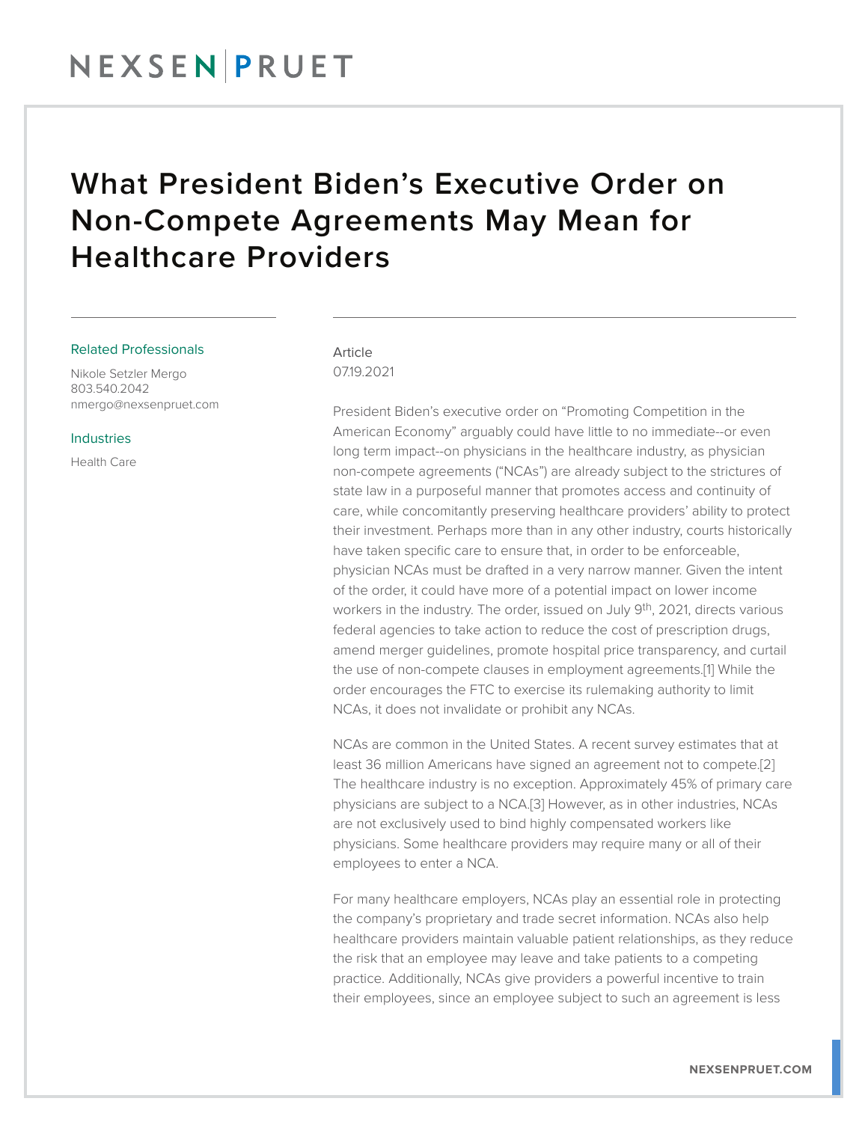#### What President Biden's Executive Order on Non-Compete Agreements May Mean for Healthcare Providers

#### Related Professionals

Nikole Setzler Mergo 803.540.2042 nmergo@nexsenpruet.com

#### Industries

Health Care

#### Article

07.19.2021

President Biden's executive order on "Promoting Competition in the American Economy" arguably could have little to no immediate--or even long term impact--on physicians in the healthcare industry, as physician non-compete agreements ("NCAs") are already subject to the strictures of state law in a purposeful manner that promotes access and continuity of care, while concomitantly preserving healthcare providers' ability to protect their investment. Perhaps more than in any other industry, courts historically have taken specific care to ensure that, in order to be enforceable, physician NCAs must be drafted in a very narrow manner. Given the intent of the order, it could have more of a potential impact on lower income workers in the industry. The order, issued on July 9<sup>th</sup>, 2021, directs various federal agencies to take action to reduce the cost of prescription drugs, amend merger guidelines, promote hospital price transparency, and curtail the use of non-compete clauses in employment agreements.[1] While the order encourages the FTC to exercise its rulemaking authority to limit NCAs, it does not invalidate or prohibit any NCAs.

NCAs are common in the United States. A recent survey estimates that at least 36 million Americans have signed an agreement not to compete.[2] The healthcare industry is no exception. Approximately 45% of primary care physicians are subject to a NCA.[3] However, as in other industries, NCAs are not exclusively used to bind highly compensated workers like physicians. Some healthcare providers may require many or all of their employees to enter a NCA.

For many healthcare employers, NCAs play an essential role in protecting the company's proprietary and trade secret information. NCAs also help healthcare providers maintain valuable patient relationships, as they reduce the risk that an employee may leave and take patients to a competing practice. Additionally, NCAs give providers a powerful incentive to train their employees, since an employee subject to such an agreement is less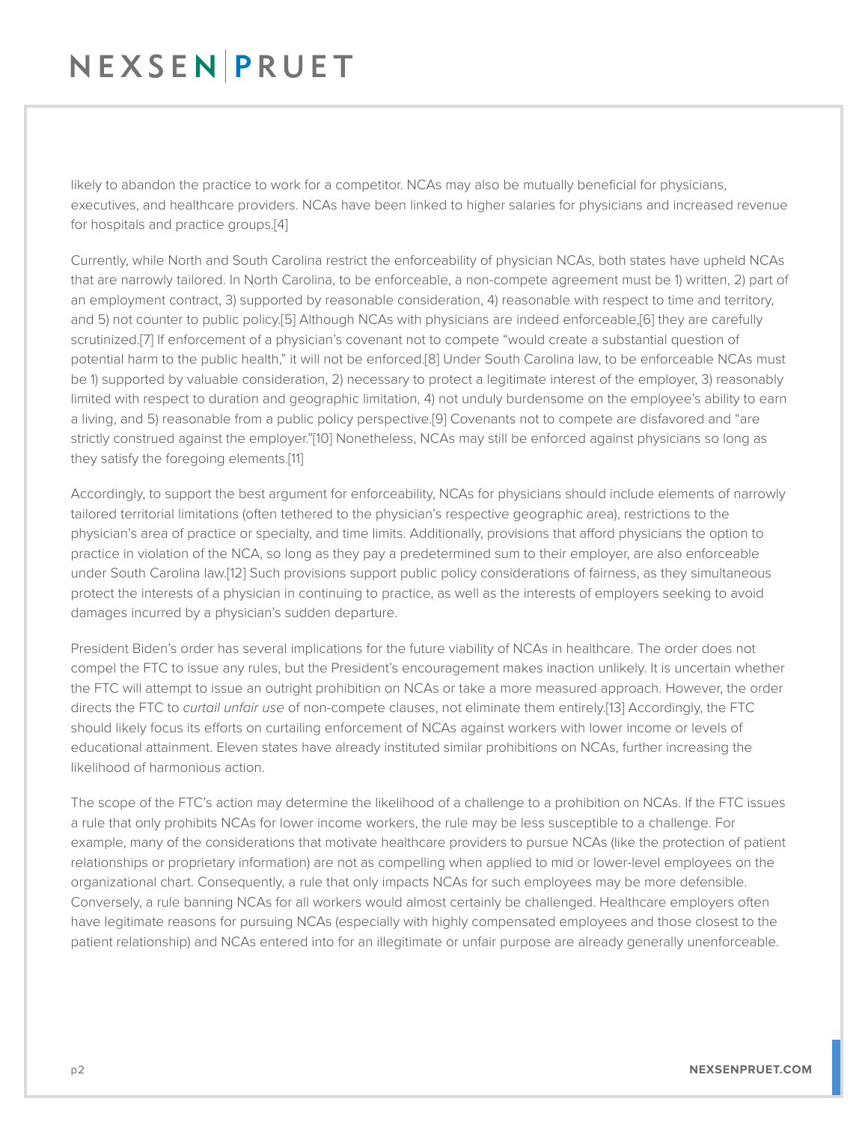### NEXSENPRUET

likely to abandon the practice to work for a competitor. NCAs may also be mutually beneficial for physicians, executives, and healthcare providers. NCAs have been linked to higher salaries for physicians and increased revenue for hospitals and practice groups.[4]

Currently, while North and South Carolina restrict the enforceability of physician NCAs, both states have upheld NCAs that are narrowly tailored. In North Carolina, to be enforceable, a non-compete agreement must be 1) written, 2) part of an employment contract, 3) supported by reasonable consideration, 4) reasonable with respect to time and territory, and 5) not counter to public policy.[5] Although NCAs with physicians are indeed enforceable,[6] they are carefully scrutinized.[7] If enforcement of a physician's covenant not to compete "would create a substantial question of potential harm to the public health," it will not be enforced.[8] Under South Carolina law, to be enforceable NCAs must be 1) supported by valuable consideration, 2) necessary to protect a legitimate interest of the employer, 3) reasonably limited with respect to duration and geographic limitation, 4) not unduly burdensome on the employee's ability to earn a living, and 5) reasonable from a public policy perspective.[9] Covenants not to compete are disfavored and "are strictly construed against the employer."[10] Nonetheless, NCAs may still be enforced against physicians so long as they satisfy the foregoing elements.[11]

Accordingly, to support the best argument for enforceability, NCAs for physicians should include elements of narrowly tailored territorial limitations (often tethered to the physician's respective geographic area), restrictions to the physician's area of practice or specialty, and time limits. Additionally, provisions that afford physicians the option to practice in violation of the NCA, so long as they pay a predetermined sum to their employer, are also enforceable under South Carolina law.[12] Such provisions support public policy considerations of fairness, as they simultaneous protect the interests of a physician in continuing to practice, as well as the interests of employers seeking to avoid damages incurred by a physician's sudden departure.

President Biden's order has several implications for the future viability of NCAs in healthcare. The order does not compel the FTC to issue any rules, but the President's encouragement makes inaction unlikely. It is uncertain whether the FTC will attempt to issue an outright prohibition on NCAs or take a more measured approach. However, the order directs the FTC to *curtail unfair use* of non-compete clauses, not eliminate them entirely.[13] Accordingly, the FTC should likely focus its efforts on curtailing enforcement of NCAs against workers with lower income or levels of educational attainment. Eleven states have already instituted similar prohibitions on NCAs, further increasing the likelihood of harmonious action.

The scope of the FTC's action may determine the likelihood of a challenge to a prohibition on NCAs. If the FTC issues a rule that only prohibits NCAs for lower income workers, the rule may be less susceptible to a challenge. For example, many of the considerations that motivate healthcare providers to pursue NCAs (like the protection of patient relationships or proprietary information) are not as compelling when applied to mid or lower-level employees on the organizational chart. Consequently, a rule that only impacts NCAs for such employees may be more defensible. Conversely, a rule banning NCAs for all workers would almost certainly be challenged. Healthcare employers often have legitimate reasons for pursuing NCAs (especially with highly compensated employees and those closest to the patient relationship) and NCAs entered into for an illegitimate or unfair purpose are already generally unenforceable.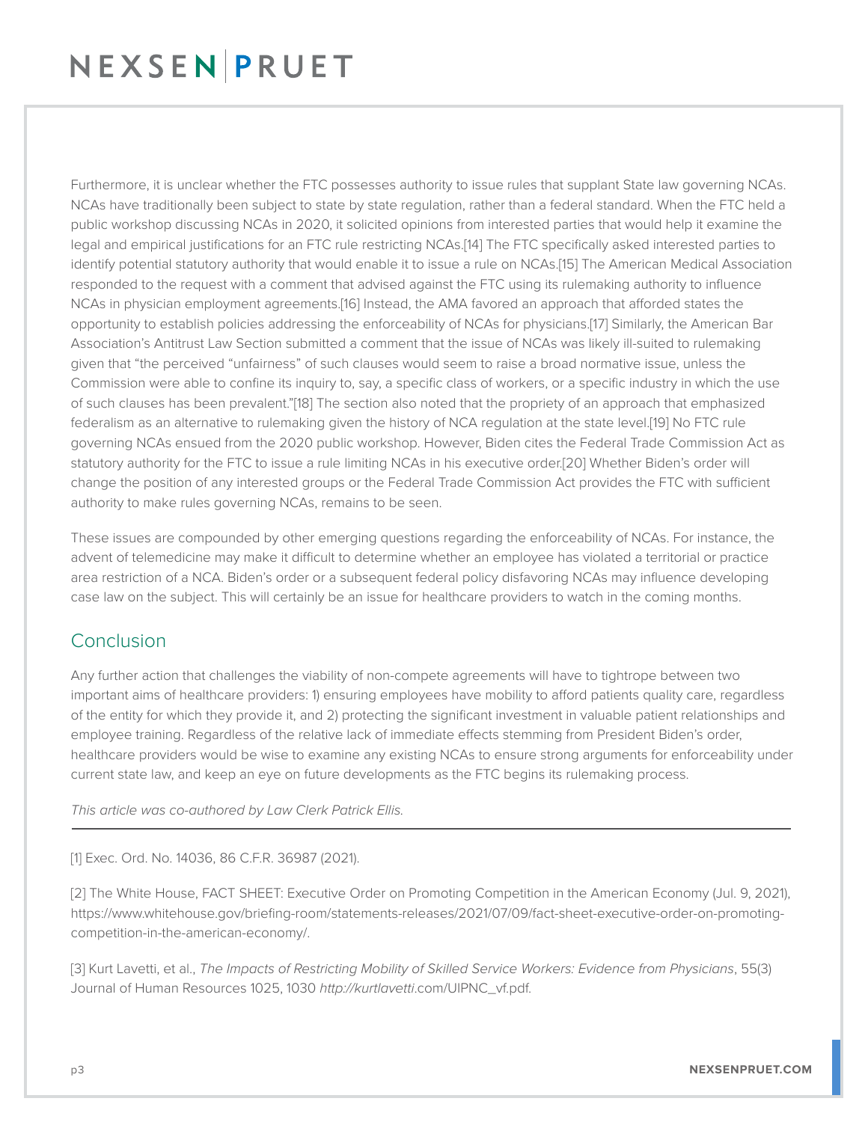## NEXSENPRUET

Furthermore, it is unclear whether the FTC possesses authority to issue rules that supplant State law governing NCAs. NCAs have traditionally been subject to state by state regulation, rather than a federal standard. When the FTC held a public workshop discussing NCAs in 2020, it solicited opinions from interested parties that would help it examine the legal and empirical justifications for an FTC rule restricting NCAs.[14] The FTC specifically asked interested parties to identify potential statutory authority that would enable it to issue a rule on NCAs.[15] The American Medical Association responded to the request with a comment that advised against the FTC using its rulemaking authority to influence NCAs in physician employment agreements.[16] Instead, the AMA favored an approach that afforded states the opportunity to establish policies addressing the enforceability of NCAs for physicians.[17] Similarly, the American Bar Association's Antitrust Law Section submitted a comment that the issue of NCAs was likely ill-suited to rulemaking given that "the perceived "unfairness" of such clauses would seem to raise a broad normative issue, unless the Commission were able to confine its inquiry to, say, a specific class of workers, or a specific industry in which the use of such clauses has been prevalent."[18] The section also noted that the propriety of an approach that emphasized federalism as an alternative to rulemaking given the history of NCA regulation at the state level.[19] No FTC rule governing NCAs ensued from the 2020 public workshop. However, Biden cites the Federal Trade Commission Act as statutory authority for the FTC to issue a rule limiting NCAs in his executive order.[20] Whether Biden's order will change the position of any interested groups or the Federal Trade Commission Act provides the FTC with sufficient authority to make rules governing NCAs, remains to be seen.

These issues are compounded by other emerging questions regarding the enforceability of NCAs. For instance, the advent of telemedicine may make it difficult to determine whether an employee has violated a territorial or practice area restriction of a NCA. Biden's order or a subsequent federal policy disfavoring NCAs may influence developing case law on the subject. This will certainly be an issue for healthcare providers to watch in the coming months.

#### Conclusion

Any further action that challenges the viability of non-compete agreements will have to tightrope between two important aims of healthcare providers: 1) ensuring employees have mobility to afford patients quality care, regardless of the entity for which they provide it, and 2) protecting the significant investment in valuable patient relationships and employee training. Regardless of the relative lack of immediate effects stemming from President Biden's order, healthcare providers would be wise to examine any existing NCAs to ensure strong arguments for enforceability under current state law, and keep an eye on future developments as the FTC begins its rulemaking process.

*This article was co-authored by Law Clerk Patrick Ellis.* L

[1] Exec. Ord. No. 14036, 86 C.F.R. 36987 (2021).

[2] The White House, FACT SHEET: Executive Order on Promoting Competition in the American Economy (Jul. 9, 2021), https://www.whitehouse.gov/briefing-room/statements-releases/2021/07/09/fact-sheet-executive-order-on-promotingcompetition-in-the-american-economy/.

[3] Kurt Lavetti, et al., *The Impacts of Restricting Mobility of Skilled Service Workers: Evidence from Physicians*, 55(3) Journal of Human Resources 1025, 1030 *http://kurtlavetti*.com/UIPNC\_vf.pdf.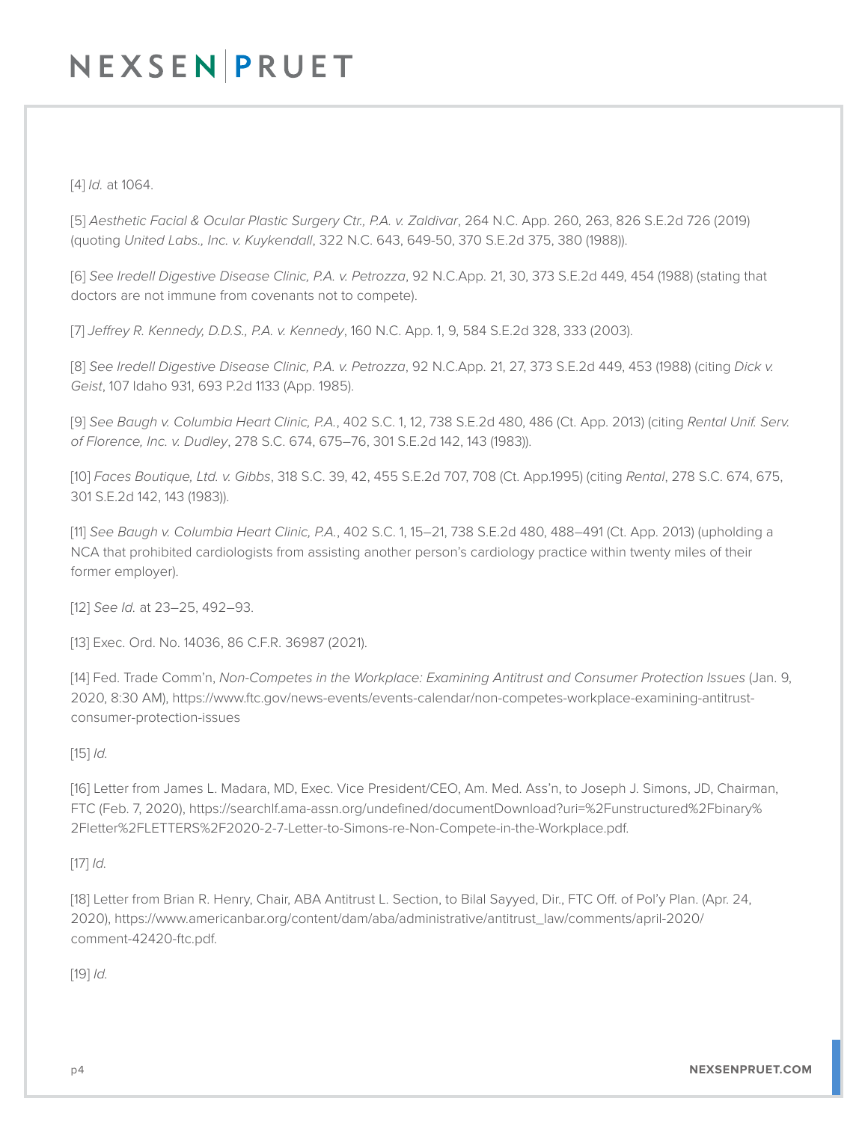## NEXSENPRUET

[4] *Id.* at 1064.

[5] *Aesthetic Facial & Ocular Plastic Surgery Ctr., P.A. v. Zaldivar*, 264 N.C. App. 260, 263, 826 S.E.2d 726 (2019) (quoting *United Labs., Inc. v. Kuykendall*, 322 N.C. 643, 649-50, 370 S.E.2d 375, 380 (1988)).

[6] *See Iredell Digestive Disease Clinic, P.A. v. Petrozza*, 92 N.C.App. 21, 30, 373 S.E.2d 449, 454 (1988) (stating that doctors are not immune from covenants not to compete).

[7] *Jeffrey R. Kennedy, D.D.S., P.A. v. Kennedy*, 160 N.C. App. 1, 9, 584 S.E.2d 328, 333 (2003).

[8] *See Iredell Digestive Disease Clinic, P.A. v. Petrozza*, 92 N.C.App. 21, 27, 373 S.E.2d 449, 453 (1988) (citing *Dick v. Geist*, 107 Idaho 931, 693 P.2d 1133 (App. 1985).

[9] *See Baugh v. Columbia Heart Clinic, P.A.*, 402 S.C. 1, 12, 738 S.E.2d 480, 486 (Ct. App. 2013) (citing *Rental Unif. Serv. of Florence, Inc. v. Dudley*, 278 S.C. 674, 675–76, 301 S.E.2d 142, 143 (1983)).

[10] *Faces Boutique, Ltd. v. Gibbs*, 318 S.C. 39, 42, 455 S.E.2d 707, 708 (Ct. App.1995) (citing *Rental*, 278 S.C. 674, 675, 301 S.E.2d 142, 143 (1983)).

[11] *See Baugh v. Columbia Heart Clinic, P.A.*, 402 S.C. 1, 15–21, 738 S.E.2d 480, 488–491 (Ct. App. 2013) (upholding a NCA that prohibited cardiologists from assisting another person's cardiology practice within twenty miles of their former employer).

[12] *See Id.* at 23–25, 492–93.

[13] Exec. Ord. No. 14036, 86 C.F.R. 36987 (2021).

[14] Fed. Trade Comm'n, *Non-Competes in the Workplace: Examining Antitrust and Consumer Protection Issues* (Jan. 9, 2020, 8:30 AM), https://www.ftc.gov/news-events/events-calendar/non-competes-workplace-examining-antitrustconsumer-protection-issues

[15] *Id.* 

[16] Letter from James L. Madara, MD, Exec. Vice President/CEO, Am. Med. Ass'n, to Joseph J. Simons, JD, Chairman, FTC (Feb. 7, 2020), https://searchlf.ama-assn.org/undefined/documentDownload?uri=%2Funstructured%2Fbinary% 2Fletter%2FLETTERS%2F2020-2-7-Letter-to-Simons-re-Non-Compete-in-the-Workplace.pdf.

[17] *Id.* 

[18] Letter from Brian R. Henry, Chair, ABA Antitrust L. Section, to Bilal Sayyed, Dir., FTC Off. of Pol'y Plan. (Apr. 24, 2020), https://www.americanbar.org/content/dam/aba/administrative/antitrust\_law/comments/april-2020/ comment-42420-ftc.pdf.

[19] *Id.*